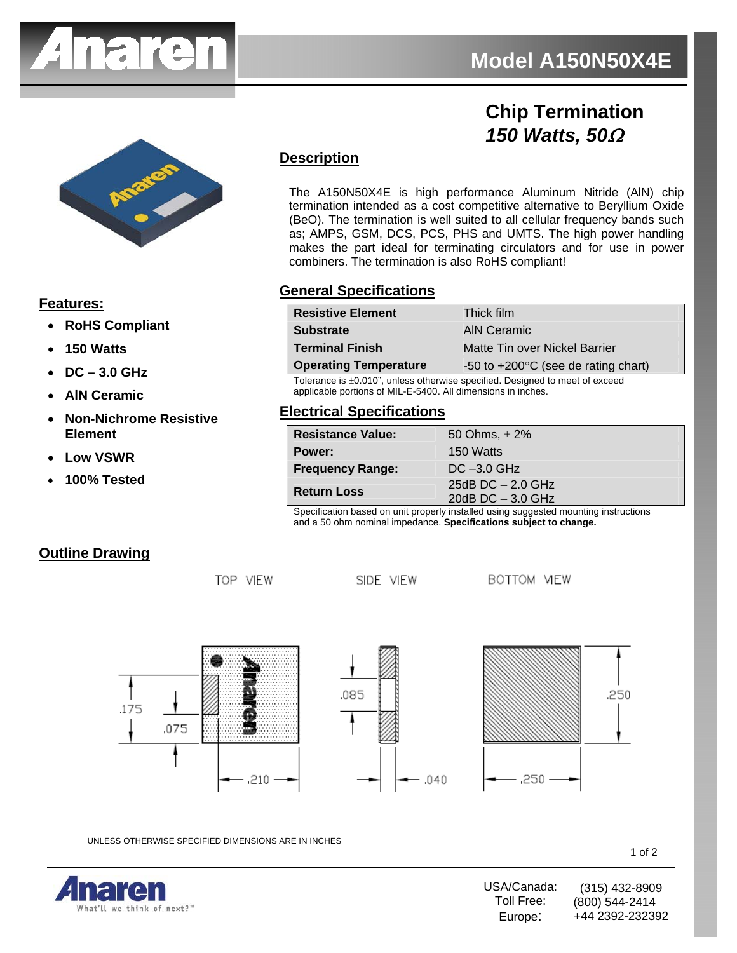

# **Chip Termination**  *150 Watts, 50*Ω



#### **Features:**

- **RoHS Compliant**
- **150 Watts**
- **DC 3.0 GHz**
- **AlN Ceramic**
- **Non-Nichrome Resistive Element**
- **Low VSWR**
- **100% Tested**

# **Description**

The A150N50X4E is high performance Aluminum Nitride (AlN) chip termination intended as a cost competitive alternative to Beryllium Oxide (BeO). The termination is well suited to all cellular frequency bands such as; AMPS, GSM, DCS, PCS, PHS and UMTS. The high power handling makes the part ideal for terminating circulators and for use in power combiners. The termination is also RoHS compliant!

### **General Specifications**

| <b>Resistive Element</b>     | Thick film                                    |
|------------------------------|-----------------------------------------------|
| <b>Substrate</b>             | AIN Ceramic                                   |
| <b>Terminal Finish</b>       | Matte Tin over Nickel Barrier                 |
| <b>Operating Temperature</b> | -50 to $+200^{\circ}$ C (see de rating chart) |

Tolerance is ±0.010", unless otherwise specified. Designed to meet of exceed applicable portions of MIL-E-5400. All dimensions in inches.

#### **Electrical Specifications**

| <b>Resistance Value:</b> | 50 Ohms, $\pm 2\%$                         |
|--------------------------|--------------------------------------------|
| Power:                   | 150 Watts                                  |
| <b>Frequency Range:</b>  | $DC -3.0$ GHz                              |
| <b>Return Loss</b>       | 25dB $DC - 2.0$ GHz<br>20dB $DC - 3.0$ GHz |
|                          |                                            |

Specification based on unit properly installed using suggested mounting instructions and a 50 ohm nominal impedance. **Specifications subject to change.**

#### **Outline Drawing**